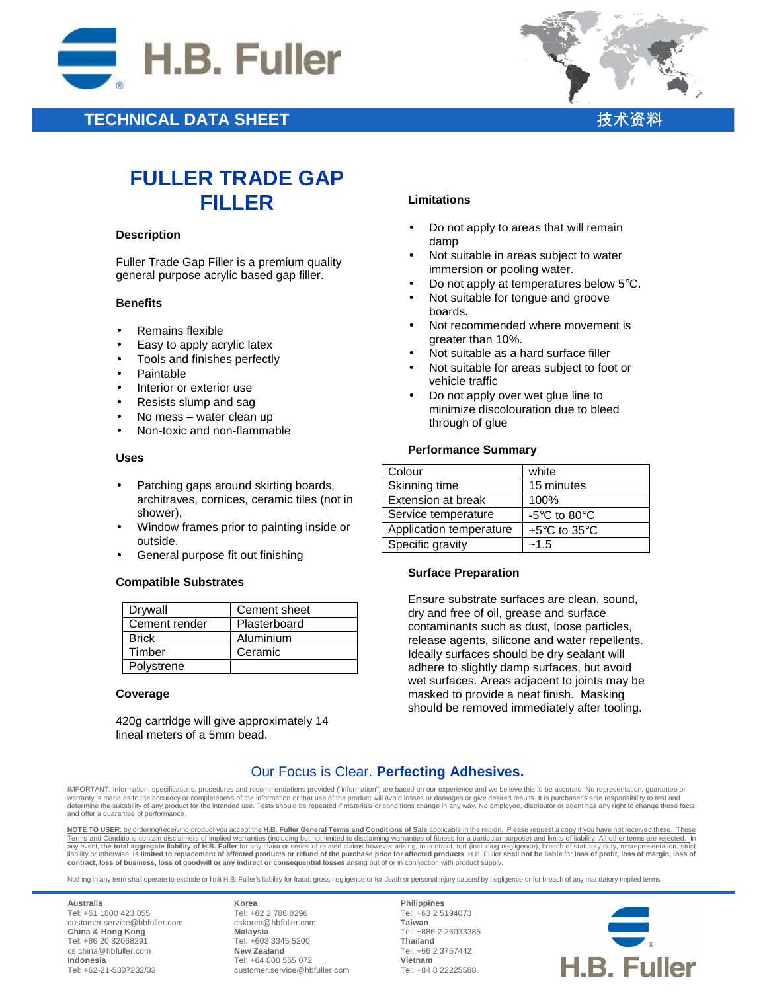

### **TECHNICAL DATA SHEET**



# **FULLER TRADE GAP FILLER**

### **Description**

Fuller Trade Gap Filler is a premium quality general purpose acrylic based gap filler.

### **Benefits**

- Remains flexible
- Easy to apply acrylic latex
- Tools and finishes perfectly
- Paintable
- Interior or exterior use
- Resists slump and sag
- No mess water clean up
- Non-toxic and non-flammable

#### **Uses**

- Patching gaps around skirting boards, architraves, cornices, ceramic tiles (not in shower),
- Window frames prior to painting inside or outside.
- General purpose fit out finishing

### **Compatible Substrates**

| Drywall       | Cement sheet |
|---------------|--------------|
| Cement render | Plasterboard |
| <b>Brick</b>  | Aluminium    |
| Timber        | Ceramic      |
| Polystrene    |              |

### **Coverage**

420g cartridge will give approximately 14 lineal meters of a 5mm bead.

### **Limitations**

- Do not apply to areas that will remain damp
- Not suitable in areas subject to water immersion or pooling water.
- Do not apply at temperatures below 5°C.
- Not suitable for tongue and groove boards.
- Not recommended where movement is greater than 10%.
- Not suitable as a hard surface filler
- Not suitable for areas subject to foot or vehicle traffic
- Do not apply over wet glue line to minimize discolouration due to bleed through of glue

#### **Performance Summary**

| Colour                    | white                                              |
|---------------------------|----------------------------------------------------|
| Skinning time             | 15 minutes                                         |
| <b>Extension at break</b> | 100%                                               |
| Service temperature       | $-5^{\circ}$ C to 80 $^{\circ}$ C                  |
| Application temperature   | +5 $\mathrm{^{\circ}C}$ to 35 $\mathrm{^{\circ}C}$ |
| Specific gravity          | $-1.5$                                             |

### **Surface Preparation**

Ensure substrate surfaces are clean, sound, dry and free of oil, grease and surface contaminants such as dust, loose particles, release agents, silicone and water repellents. Ideally surfaces should be dry sealant will adhere to slightly damp surfaces, but avoid wet surfaces. Areas adjacent to joints may be masked to provide a neat finish. Masking should be removed immediately after tooling.

### Our Focus is Clear. **Perfecting Adhesives.**

IMPORTANT: Information, specifications, procedures and recommendations provided ("information") are based on our experience and we believe this to be accurate. No representation, guarantee or warranty is made as to the accuracy or completeness of the information or that use of the product will avoid losses or damages or give desired results. It is purchaser's sole responsibility to test and warranty is made as determine the suitability of any product for the intended use. Tests should be repeated if materials or conditions change in any way. No employee, distributor or agent has any right to change these facts and offer a guarantee of performance.

**NOTE TO USER**: by ordering/receiving product you accept the **H.B. Fuller General Terms and Conditions of Sale** applicable in the region. Please request a copy if you have not received these. These Terms and Conditions contain disclaimers of implied warranties (including but not limited to disclaiming warranties of fitness for a particular purpose) and limits of liability. All other terms are rejected. In<br>any event, **contract, loss of business, loss of goodwill or any indirect or consequential losses** arising out of or in connection with product supply.

Nothing in any term shall operate to exclude or limit H.B. Fuller's liability for fraud, gross negligence or for death or personal injury caused by negligence or for breach of any mandatory implied terms.

**Australia** Tel: +61 1800 423 855 customer.service@hbfuller.com **China & Hong Kong**  Tel: +86 20 82068291 cs.china@hbfuller.com **Indonesia**  Tel: +62-21-5307232/33

**Korea** Tel: +82 2 786 8296 cskorea@hbfuller.com **Malaysia**  Tel: +603 3345 5200 **New Zealand** Tel: +64 800 555 072 customer.service@hbfuller.com

**Philippines** Tel: +63 2 5194073 **Taiwan**  Tel: +886 2 26033385 **Thailand**  Tel: +66 2 3757442 **Vietnam**  Tel: +84 8 22225588